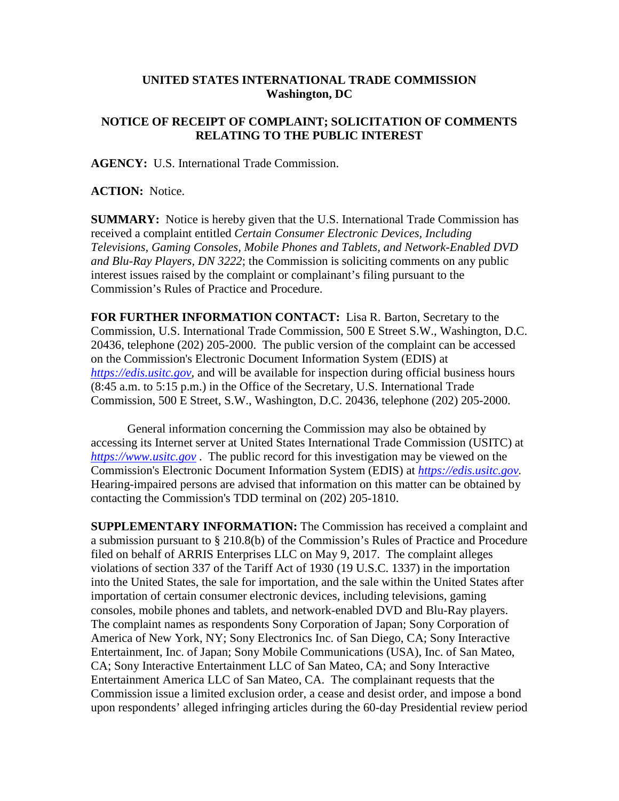## **UNITED STATES INTERNATIONAL TRADE COMMISSION Washington, DC**

## **NOTICE OF RECEIPT OF COMPLAINT; SOLICITATION OF COMMENTS RELATING TO THE PUBLIC INTEREST**

**AGENCY:** U.S. International Trade Commission.

**ACTION:** Notice.

**SUMMARY:** Notice is hereby given that the U.S. International Trade Commission has received a complaint entitled *Certain Consumer Electronic Devices, Including Televisions, Gaming Consoles, Mobile Phones and Tablets, and Network-Enabled DVD and Blu-Ray Players, DN 3222*; the Commission is soliciting comments on any public interest issues raised by the complaint or complainant's filing pursuant to the Commission's Rules of Practice and Procedure.

**FOR FURTHER INFORMATION CONTACT:** Lisa R. Barton, Secretary to the Commission, U.S. International Trade Commission, 500 E Street S.W., Washington, D.C. 20436, telephone (202) 205-2000. The public version of the complaint can be accessed on the Commission's Electronic Document Information System (EDIS) at *[https://edis.usitc.gov](https://edis.usitc.gov/)*, and will be available for inspection during official business hours (8:45 a.m. to 5:15 p.m.) in the Office of the Secretary, U.S. International Trade Commission, 500 E Street, S.W., Washington, D.C. 20436, telephone (202) 205-2000.

General information concerning the Commission may also be obtained by accessing its Internet server at United States International Trade Commission (USITC) at *[https://www.usitc.gov](https://www.usitc.gov/)* . The public record for this investigation may be viewed on the Commission's Electronic Document Information System (EDIS) at *[https://edis.usitc.gov.](https://edis.usitc.gov/)* Hearing-impaired persons are advised that information on this matter can be obtained by contacting the Commission's TDD terminal on (202) 205-1810.

**SUPPLEMENTARY INFORMATION:** The Commission has received a complaint and a submission pursuant to § 210.8(b) of the Commission's Rules of Practice and Procedure filed on behalf of ARRIS Enterprises LLC on May 9, 2017. The complaint alleges violations of section 337 of the Tariff Act of 1930 (19 U.S.C. 1337) in the importation into the United States, the sale for importation, and the sale within the United States after importation of certain consumer electronic devices, including televisions, gaming consoles, mobile phones and tablets, and network-enabled DVD and Blu-Ray players. The complaint names as respondents Sony Corporation of Japan; Sony Corporation of America of New York, NY; Sony Electronics Inc. of San Diego, CA; Sony Interactive Entertainment, Inc. of Japan; Sony Mobile Communications (USA), Inc. of San Mateo, CA; Sony Interactive Entertainment LLC of San Mateo, CA; and Sony Interactive Entertainment America LLC of San Mateo, CA. The complainant requests that the Commission issue a limited exclusion order, a cease and desist order, and impose a bond upon respondents' alleged infringing articles during the 60-day Presidential review period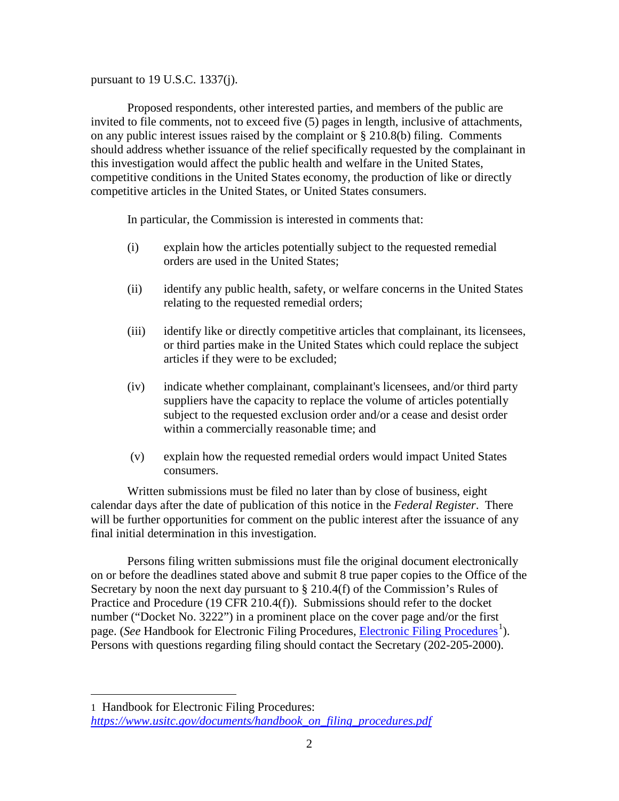pursuant to 19 U.S.C. 1337(j).

Proposed respondents, other interested parties, and members of the public are invited to file comments, not to exceed five (5) pages in length, inclusive of attachments, on any public interest issues raised by the complaint or § 210.8(b) filing. Comments should address whether issuance of the relief specifically requested by the complainant in this investigation would affect the public health and welfare in the United States, competitive conditions in the United States economy, the production of like or directly competitive articles in the United States, or United States consumers.

In particular, the Commission is interested in comments that:

- (i) explain how the articles potentially subject to the requested remedial orders are used in the United States;
- (ii) identify any public health, safety, or welfare concerns in the United States relating to the requested remedial orders;
- (iii) identify like or directly competitive articles that complainant, its licensees, or third parties make in the United States which could replace the subject articles if they were to be excluded;
- (iv) indicate whether complainant, complainant's licensees, and/or third party suppliers have the capacity to replace the volume of articles potentially subject to the requested exclusion order and/or a cease and desist order within a commercially reasonable time; and
- (v) explain how the requested remedial orders would impact United States consumers.

Written submissions must be filed no later than by close of business, eight calendar days after the date of publication of this notice in the *Federal Register*. There will be further opportunities for comment on the public interest after the issuance of any final initial determination in this investigation.

Persons filing written submissions must file the original document electronically on or before the deadlines stated above and submit 8 true paper copies to the Office of the Secretary by noon the next day pursuant to  $\S 210.4(f)$  of the Commission's Rules of Practice and Procedure (19 CFR 210.4(f)). Submissions should refer to the docket number ("Docket No. 3222") in a prominent place on the cover page and/or the first page. (*See* Handbook for [Electronic Filing Procedures](https://www.usitc.gov/documents/handbook_on_filing_procedures.pdf), *Electronic Filing Procedures*<sup>[1](#page-1-0)</sup>). Persons with questions regarding filing should contact the Secretary (202-205-2000).

 $\overline{a}$ 

<span id="page-1-0"></span><sup>1</sup> Handbook for Electronic Filing Procedures: *[https://www.usitc.gov/documents/handbook\\_on\\_filing\\_procedures.pdf](https://www.usitc.gov/documents/handbook_on_filing_procedures.pdf)*